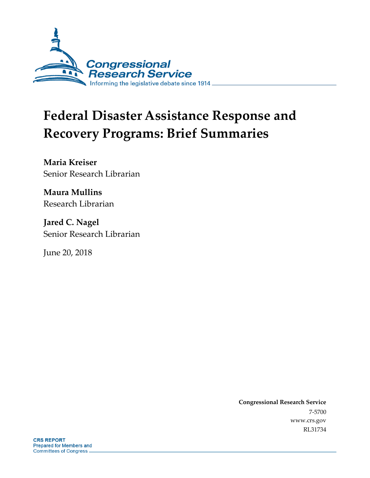

# **Federal Disaster Assistance Response and Recovery Programs: Brief Summaries**

**Maria Kreiser** Senior Research Librarian

**Maura Mullins** Research Librarian

**Jared C. Nagel** Senior Research Librarian

June 20, 2018

**Congressional Research Service** 7-5700 www.crs.gov RL31734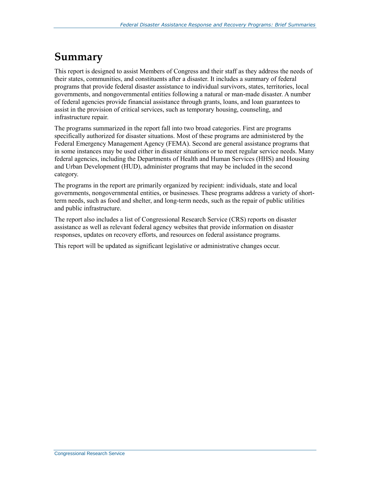## **Summary**

This report is designed to assist Members of Congress and their staff as they address the needs of their states, communities, and constituents after a disaster. It includes a summary of federal programs that provide federal disaster assistance to individual survivors, states, territories, local governments, and nongovernmental entities following a natural or man-made disaster. A number of federal agencies provide financial assistance through grants, loans, and loan guarantees to assist in the provision of critical services, such as temporary housing, counseling, and infrastructure repair.

The programs summarized in the report fall into two broad categories. First are programs specifically authorized for disaster situations. Most of these programs are administered by the Federal Emergency Management Agency (FEMA). Second are general assistance programs that in some instances may be used either in disaster situations or to meet regular service needs. Many federal agencies, including the Departments of Health and Human Services (HHS) and Housing and Urban Development (HUD), administer programs that may be included in the second category.

The programs in the report are primarily organized by recipient: individuals, state and local governments, nongovernmental entities, or businesses. These programs address a variety of shortterm needs, such as food and shelter, and long-term needs, such as the repair of public utilities and public infrastructure.

The report also includes a list of Congressional Research Service (CRS) reports on disaster assistance as well as relevant federal agency websites that provide information on disaster responses, updates on recovery efforts, and resources on federal assistance programs.

This report will be updated as significant legislative or administrative changes occur.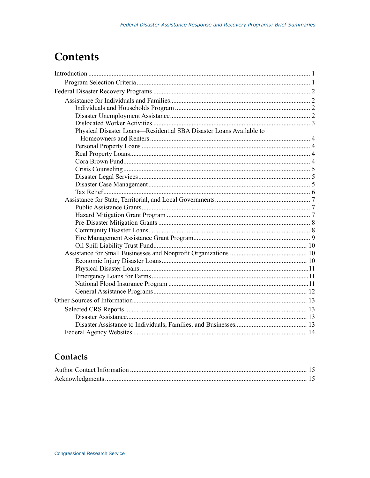## **Contents**

| Physical Disaster Loans-Residential SBA Disaster Loans Available to |  |
|---------------------------------------------------------------------|--|
|                                                                     |  |
|                                                                     |  |
|                                                                     |  |
|                                                                     |  |
|                                                                     |  |
|                                                                     |  |
|                                                                     |  |
|                                                                     |  |
|                                                                     |  |
|                                                                     |  |
|                                                                     |  |
|                                                                     |  |
|                                                                     |  |
|                                                                     |  |
|                                                                     |  |
|                                                                     |  |
|                                                                     |  |
|                                                                     |  |
|                                                                     |  |
|                                                                     |  |
|                                                                     |  |
|                                                                     |  |
|                                                                     |  |
|                                                                     |  |
|                                                                     |  |
|                                                                     |  |

## Contacts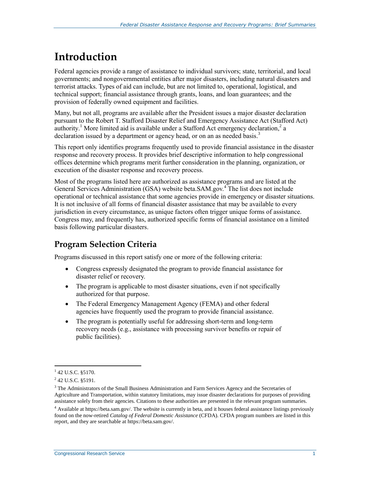## **Introduction**

Federal agencies provide a range of assistance to individual survivors; state, territorial, and local governments; and nongovernmental entities after major disasters, including natural disasters and terrorist attacks. Types of aid can include, but are not limited to, operational, logistical, and technical support; financial assistance through grants, loans, and loan guarantees; and the provision of federally owned equipment and facilities.

Many, but not all, programs are available after the President issues a major disaster declaration pursuant to the Robert T. Stafford Disaster Relief and Emergency Assistance Act (Stafford Act) authority.<sup>1</sup> More limited aid is available under a Stafford Act emergency declaration,<sup>2</sup> a declaration issued by a department or agency head, or on an as needed basis.<sup>3</sup>

This report only identifies programs frequently used to provide financial assistance in the disaster response and recovery process. It provides brief descriptive information to help congressional offices determine which programs merit further consideration in the planning, organization, or execution of the disaster response and recovery process.

Most of the programs listed here are authorized as assistance programs and are listed at the General Services Administration (GSA) website beta.SAM.gov.<sup>4</sup> The list does not include operational or technical assistance that some agencies provide in emergency or disaster situations. It is not inclusive of all forms of financial disaster assistance that may be available to every jurisdiction in every circumstance, as unique factors often trigger unique forms of assistance. Congress may, and frequently has, authorized specific forms of financial assistance on a limited basis following particular disasters.

## **Program Selection Criteria**

Programs discussed in this report satisfy one or more of the following criteria:

- Congress expressly designated the program to provide financial assistance for disaster relief or recovery.
- The program is applicable to most disaster situations, even if not specifically authorized for that purpose.
- The Federal Emergency Management Agency (FEMA) and other federal agencies have frequently used the program to provide financial assistance.
- The program is potentially useful for addressing short-term and long-term recovery needs (e.g., assistance with processing survivor benefits or repair of public facilities).

 $1$  42 U.S.C. §5170.

 $2$  42 U.S.C. §5191.

<sup>&</sup>lt;sup>3</sup> The Administrators of the Small Business Administration and Farm Services Agency and the Secretaries of Agriculture and Transportation, within statutory limitations, may issue disaster declarations for purposes of providing assistance solely from their agencies. Citations to these authorities are presented in the relevant program summaries.

<sup>4</sup> Available at https://beta.sam.gov/. The website is currently in beta, and it houses federal assistance listings previously found on the now-retired *Catalog of Federal Domestic Assistance* (CFDA). CFDA program numbers are listed in this report, and they are searchable at https://beta.sam.gov/.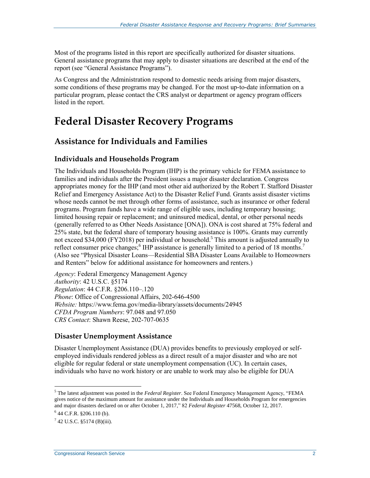Most of the programs listed in this report are specifically authorized for disaster situations. General assistance programs that may apply to disaster situations are described at the end of the report (see ["General Assistance Programs"](#page-14-0)).

As Congress and the Administration respond to domestic needs arising from major disasters, some conditions of these programs may be changed. For the most up-to-date information on a particular program, please contact the CRS analyst or department or agency program officers listed in the report.

## **Federal Disaster Recovery Programs**

### **Assistance for Individuals and Families**

#### **Individuals and Households Program**

The Individuals and Households Program (IHP) is the primary vehicle for FEMA assistance to families and individuals after the President issues a major disaster declaration. Congress appropriates money for the IHP (and most other aid authorized by the Robert T. Stafford Disaster Relief and Emergency Assistance Act) to the Disaster Relief Fund. Grants assist disaster victims whose needs cannot be met through other forms of assistance, such as insurance or other federal programs. Program funds have a wide range of eligible uses, including temporary housing; limited housing repair or replacement; and uninsured medical, dental, or other personal needs (generally referred to as Other Needs Assistance [ONA]). ONA is cost shared at 75% federal and 25% state, but the federal share of temporary housing assistance is 100%. Grants may currently not exceed \$34,000 (FY2018) per individual or household. <sup>5</sup> This amount is adjusted annually to reflect consumer price changes;<sup>6</sup> IHP assistance is generally limited to a period of 18 months.<sup>7</sup> (Also see ["Physical Disaster Loans—Residential SBA Disaster Loans Available to Homeowners](#page-6-0)  [and Renters"](#page-6-0) below for additional assistance for homeowners and renters.)

*Agency*: Federal Emergency Management Agency *Authority*: 42 U.S.C. §5174 *Regulation*: 44 C.F.R. §206.110–.120 *Phone*: Office of Congressional Affairs, 202-646-4500 *Website:* https://www.fema.gov/media-library/assets/documents/24945 *CFDA Program Numbers*: 97.048 and 97.050 *CRS Contact*: Shawn Reese, 202-707-0635

#### **Disaster Unemployment Assistance**

Disaster Unemployment Assistance (DUA) provides benefits to previously employed or selfemployed individuals rendered jobless as a direct result of a major disaster and who are not eligible for regular federal or state unemployment compensation (UC). In certain cases, individuals who have no work history or are unable to work may also be eligible for DUA

<sup>5</sup> The latest adjustment was posted in the *Federal Register*. See Federal Emergency Management Agency, "FEMA gives notice of the maximum amount for assistance under the Individuals and Households Program for emergencies and major disasters declared on or after October 1, 2017," 82 *Federal Register* 47568, October 12, 2017.

 $644$  C.F.R. §206.110 (b).

 $7$  42 U.S.C. §5174 (B)(iii).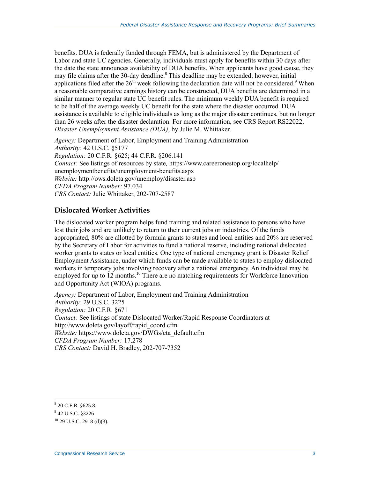benefits. DUA is federally funded through FEMA, but is administered by the Department of Labor and state UC agencies. Generally, individuals must apply for benefits within 30 days after the date the state announces availability of DUA benefits. When applicants have good cause, they may file claims after the 30-day deadline. <sup>8</sup> This deadline may be extended; however, initial applications filed after the  $26<sup>th</sup>$  week following the declaration date will not be considered.<sup>9</sup> When a reasonable comparative earnings history can be constructed, DUA benefits are determined in a similar manner to regular state UC benefit rules. The minimum weekly DUA benefit is required to be half of the average weekly UC benefit for the state where the disaster occurred. DUA assistance is available to eligible individuals as long as the major disaster continues, but no longer than 26 weeks after the disaster declaration. For more information, see CRS Report RS22022, *Disaster Unemployment Assistance (DUA)*, by Julie M. Whittaker.

*Agency:* Department of Labor, Employment and Training Administration *Authority:* 42 U.S.C. §5177 *Regulation:* 20 C.F.R. §625; 44 C.F.R. §206.141 *Contact:* See listings of resources by state*,* https://www.careeronestop.org/localhelp/ unemploymentbenefits/unemployment-benefits.aspx *Website:* http://ows.doleta.gov/unemploy/disaster.asp *CFDA Program Number:* 97.034 *CRS Contact:* Julie Whittaker, 202-707-2587

#### **Dislocated Worker Activities**

The dislocated worker program helps fund training and related assistance to persons who have lost their jobs and are unlikely to return to their current jobs or industries. Of the funds appropriated, 80% are allotted by formula grants to states and local entities and 20% are reserved by the Secretary of Labor for activities to fund a national reserve, including national dislocated worker grants to states or local entities. One type of national emergency grant is Disaster Relief Employment Assistance, under which funds can be made available to states to employ dislocated workers in temporary jobs involving recovery after a national emergency. An individual may be employed for up to 12 months.<sup>10</sup> There are no matching requirements for Workforce Innovation and Opportunity Act (WIOA) programs.

*Agency:* Department of Labor, Employment and Training Administration *Authority:* 29 U.S.C. 3225 *Regulation:* 20 C.F.R. §671 *Contact:* See listings of state Dislocated Worker/Rapid Response Coordinators at http://www.doleta.gov/layoff/rapid\_coord.cfm *Website:* https://www.doleta.gov/DWGs/eta\_default.cfm *CFDA Program Number:* 17.278 *CRS Contact:* David H. Bradley, 202-707-7352

<sup>8</sup> 20 C.F.R. §625.8.

<sup>&</sup>lt;sup>9</sup> 42 U.S.C. §3226

 $10$  29 U.S.C. 2918 (d)(3).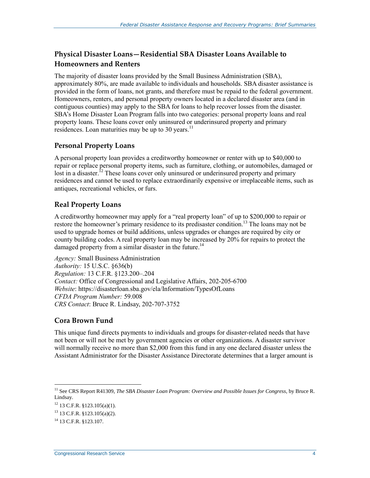#### <span id="page-6-0"></span>**Physical Disaster Loans—Residential SBA Disaster Loans Available to Homeowners and Renters**

The majority of disaster loans provided by the Small Business Administration (SBA), approximately 80%, are made available to individuals and households. SBA disaster assistance is provided in the form of loans, not grants, and therefore must be repaid to the federal government. Homeowners, renters, and personal property owners located in a declared disaster area (and in contiguous counties) may apply to the SBA for loans to help recover losses from the disaster. SBA's Home Disaster Loan Program falls into two categories: personal property loans and real property loans. These loans cover only uninsured or underinsured property and primary residences. Loan maturities may be up to 30 years.<sup>11</sup>

#### **Personal Property Loans**

A personal property loan provides a creditworthy homeowner or renter with up to \$40,000 to repair or replace personal property items, such as furniture, clothing, or automobiles, damaged or lost in a disaster.<sup>12</sup> These loans cover only uninsured or underinsured property and primary residences and cannot be used to replace extraordinarily expensive or irreplaceable items, such as antiques, recreational vehicles, or furs.

#### **Real Property Loans**

A creditworthy homeowner may apply for a "real property loan" of up to \$200,000 to repair or restore the homeowner's primary residence to its predisaster condition.<sup>13</sup> The loans may not be used to upgrade homes or build additions, unless upgrades or changes are required by city or county building codes. A real property loan may be increased by 20% for repairs to protect the damaged property from a similar disaster in the future.<sup>14</sup>

*Agency:* Small Business Administration *Authority:* 15 U.S.C. §636(b) *Regulation:* 13 C.F.R. §123.200–.204 *Contact:* Office of Congressional and Legislative Affairs, 202-205-6700 *Website*: https://disasterloan.sba.gov/ela/Information/TypesOfLoans *CFDA Program Number:* 59.008 *CRS Contact*: Bruce R. Lindsay, 202-707-3752

#### **Cora Brown Fund**

This unique fund directs payments to individuals and groups for disaster-related needs that have not been or will not be met by government agencies or other organizations. A disaster survivor will normally receive no more than \$2,000 from this fund in any one declared disaster unless the Assistant Administrator for the Disaster Assistance Directorate determines that a larger amount is

<sup>11</sup> See CRS Report R41309, *The SBA Disaster Loan Program: Overview and Possible Issues for Congress*, by Bruce R. Lindsay.

<sup>12</sup> 13 C.F.R. §123.105(a)(1).

<sup>13</sup> 13 C.F.R. §123.105(a)(2).

<sup>14</sup> 13 C.F.R. §123.107.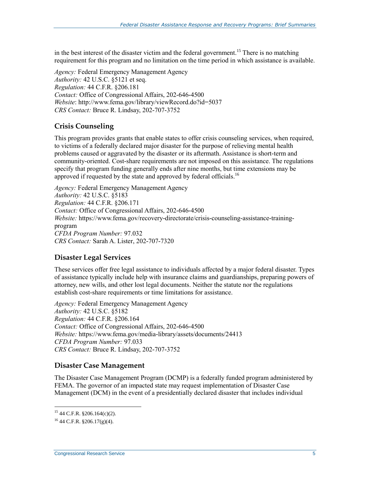in the best interest of the disaster victim and the federal government.<sup>15</sup> There is no matching requirement for this program and no limitation on the time period in which assistance is available.

*Agency:* Federal Emergency Management Agency *Authority:* 42 U.S.C. §5121 et seq. *Regulation:* 44 C.F.R. §206.181 *Contact:* Office of Congressional Affairs, 202-646-4500 *Website*: http://www.fema.gov/library/viewRecord.do?id=5037 *CRS Contact:* Bruce R. Lindsay, 202-707-3752

#### **Crisis Counseling**

This program provides grants that enable states to offer crisis counseling services, when required, to victims of a federally declared major disaster for the purpose of relieving mental health problems caused or aggravated by the disaster or its aftermath. Assistance is short-term and community-oriented. Cost-share requirements are not imposed on this assistance. The regulations specify that program funding generally ends after nine months, but time extensions may be approved if requested by the state and approved by federal officials.<sup>16</sup>

*Agency:* Federal Emergency Management Agency *Authority:* 42 U.S.C. §5183 *Regulation:* 44 C.F.R. §206.171 *Contact:* Office of Congressional Affairs, 202-646-4500 *Website:* https://www.fema.gov/recovery-directorate/crisis-counseling-assistance-trainingprogram *CFDA Program Number:* 97.032 *CRS Contact:* Sarah A. Lister, 202-707-7320

#### **Disaster Legal Services**

These services offer free legal assistance to individuals affected by a major federal disaster. Types of assistance typically include help with insurance claims and guardianships, preparing powers of attorney, new wills, and other lost legal documents. Neither the statute nor the regulations establish cost-share requirements or time limitations for assistance.

*Agency:* Federal Emergency Management Agency *Authority:* 42 U.S.C. §5182 *Regulation:* 44 C.F.R. §206.164 *Contact:* Office of Congressional Affairs, 202-646-4500 *Website:* https://www.fema.gov/media-library/assets/documents/24413 *CFDA Program Number:* 97.033 *CRS Contact:* Bruce R. Lindsay, 202-707-3752

#### **Disaster Case Management**

The Disaster Case Management Program (DCMP) is a federally funded program administered by FEMA. The governor of an impacted state may request implementation of Disaster Case Management (DCM) in the event of a presidentially declared disaster that includes individual

 $15$  44 C.F.R. §206.164(c)(2).

 $^{16}$  44 C.F.R. §206.17(g)(4).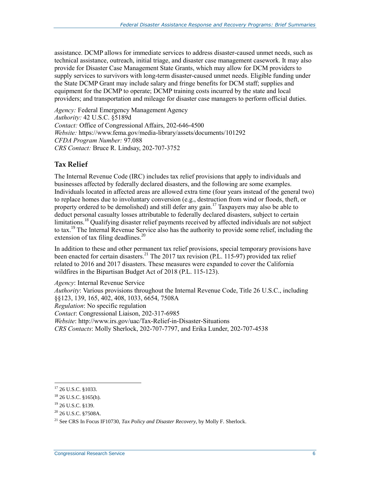assistance. DCMP allows for immediate services to address disaster-caused unmet needs, such as technical assistance, outreach, initial triage, and disaster case management casework. It may also provide for Disaster Case Management State Grants, which may allow for DCM providers to supply services to survivors with long-term disaster-caused unmet needs. Eligible funding under the State DCMP Grant may include salary and fringe benefits for DCM staff; supplies and equipment for the DCMP to operate; DCMP training costs incurred by the state and local providers; and transportation and mileage for disaster case managers to perform official duties.

*Agency:* Federal Emergency Management Agency *Authority:* 42 U.S.C. §5189d *Contact:* Office of Congressional Affairs, 202-646-4500 *Website:* https://www.fema.gov/media-library/assets/documents/101292 *CFDA Program Number:* 97.088 *CRS Contact:* Bruce R. Lindsay, 202-707-3752

#### **Tax Relief**

The Internal Revenue Code (IRC) includes tax relief provisions that apply to individuals and businesses affected by federally declared disasters, and the following are some examples. Individuals located in affected areas are allowed extra time (four years instead of the general two) to replace homes due to involuntary conversion (e.g., destruction from wind or floods, theft, or property ordered to be demolished) and still defer any gain.<sup>17</sup> Taxpayers may also be able to deduct personal casualty losses attributable to federally declared disasters, subject to certain limitations.<sup>18</sup> Qualifying disaster relief payments received by affected individuals are not subject to tax.<sup>19</sup> The Internal Revenue Service also has the authority to provide some relief, including the extension of tax filing deadlines.<sup>20</sup>

In addition to these and other permanent tax relief provisions, special temporary provisions have been enacted for certain disasters.<sup>21</sup> The 2017 tax revision (P.L. 115-97) provided tax relief related to 2016 and 2017 disasters. These measures were expanded to cover the California wildfires in the Bipartisan Budget Act of 2018 (P.L. 115-123).

*Agency*: Internal Revenue Service *Authority*: Various provisions throughout the Internal Revenue Code, Title 26 U.S.C., including §§123, 139, 165, 402, 408, 1033, 6654, 7508A *Regulation*: No specific regulation *Contact*: Congressional Liaison, 202-317-6985 *Website*: http://www.irs.gov/uac/Tax-Relief-in-Disaster-Situations *CRS Contacts*: Molly Sherlock, 202-707-7797, and Erika Lunder, 202-707-4538

<sup>&</sup>lt;sup>17</sup> 26 U.S.C. §1033.

<sup>18</sup> 26 U.S.C. §165(h).

<sup>19</sup> 26 U.S.C. §139.

<sup>20</sup> 26 U.S.C. §7508A.

<sup>21</sup> See CRS In Focus IF10730, *Tax Policy and Disaster Recovery*, by Molly F. Sherlock.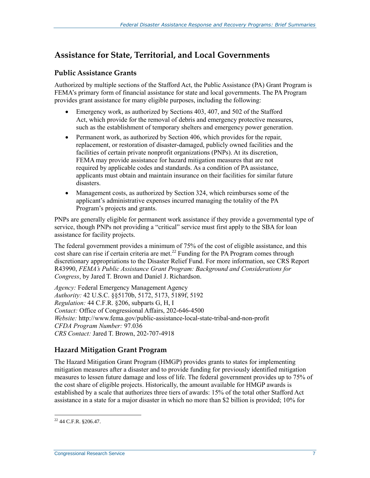### **Assistance for State, Territorial, and Local Governments**

#### **Public Assistance Grants**

Authorized by multiple sections of the Stafford Act, the Public Assistance (PA) Grant Program is FEMA's primary form of financial assistance for state and local governments. The PA Program provides grant assistance for many eligible purposes, including the following:

- Emergency work, as authorized by Sections 403, 407, and 502 of the Stafford Act, which provide for the removal of debris and emergency protective measures, such as the establishment of temporary shelters and emergency power generation.
- Permanent work, as authorized by Section 406, which provides for the repair, replacement, or restoration of disaster-damaged, publicly owned facilities and the facilities of certain private nonprofit organizations (PNPs). At its discretion, FEMA may provide assistance for hazard mitigation measures that are not required by applicable codes and standards. As a condition of PA assistance, applicants must obtain and maintain insurance on their facilities for similar future disasters.
- Management costs, as authorized by Section 324, which reimburses some of the applicant's administrative expenses incurred managing the totality of the PA Program's projects and grants.

PNPs are generally eligible for permanent work assistance if they provide a governmental type of service, though PNPs not providing a "critical" service must first apply to the SBA for loan assistance for facility projects.

The federal government provides a minimum of 75% of the cost of eligible assistance, and this cost share can rise if certain criteria are met.<sup>22</sup> Funding for the PA Program comes through discretionary appropriations to the Disaster Relief Fund. For more information, see CRS Report R43990, *FEMA's Public Assistance Grant Program: Background and Considerations for Congress*, by Jared T. Brown and Daniel J. Richardson.

*Agency:* Federal Emergency Management Agency *Authority:* 42 U.S.C. §§5170b, 5172, 5173, 5189f, 5192 *Regulation:* 44 C.F.R. §206, subparts G, H, I *Contact:* Office of Congressional Affairs, 202-646-4500 *Website:* http://www.fema.gov/public-assistance-local-state-tribal-and-non-profit *CFDA Program Number:* 97.036 *CRS Contact:* Jared T. Brown, 202-707-4918

#### **Hazard Mitigation Grant Program**

The Hazard Mitigation Grant Program (HMGP) provides grants to states for implementing mitigation measures after a disaster and to provide funding for previously identified mitigation measures to lessen future damage and loss of life. The federal government provides up to 75% of the cost share of eligible projects. Historically, the amount available for HMGP awards is established by a scale that authorizes three tiers of awards: 15% of the total other Stafford Act assistance in a state for a major disaster in which no more than \$2 billion is provided; 10% for

 $\overline{a}$  $22$  44 C.F.R. §206.47.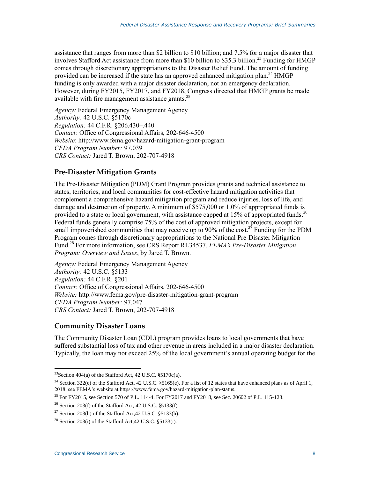assistance that ranges from more than \$2 billion to \$10 billion; and 7.5% for a major disaster that involves Stafford Act assistance from more than \$10 billion to \$35.3 billion. <sup>23</sup> Funding for HMGP comes through discretionary appropriations to the Disaster Relief Fund. The amount of funding provided can be increased if the state has an approved enhanced mitigation plan.<sup>24</sup> HMGP funding is only awarded with a major disaster declaration, not an emergency declaration. However, during FY2015, FY2017, and FY2018, Congress directed that HMGP grants be made available with fire management assistance grants.<sup>25</sup>

*Agency:* Federal Emergency Management Agency *Authority:* 42 U.S.C. §5170c *Regulation:* 44 C.F.R. §206.430–.440 *Contact:* Office of Congressional Affairs*,* 202-646-4500 *Website*: http://www.fema.gov/hazard-mitigation-grant-program *CFDA Program Number:* 97.039 *CRS Contact:* Jared T. Brown, 202-707-4918

#### **Pre-Disaster Mitigation Grants**

The Pre-Disaster Mitigation (PDM) Grant Program provides grants and technical assistance to states, territories, and local communities for cost-effective hazard mitigation activities that complement a comprehensive hazard mitigation program and reduce injuries, loss of life, and damage and destruction of property. A minimum of \$575,000 or 1.0% of appropriated funds is provided to a state or local government, with assistance capped at 15% of appropriated funds.<sup>26</sup> Federal funds generally comprise 75% of the cost of approved mitigation projects, except for small impoverished communities that may receive up to 90% of the cost.<sup>27</sup> Funding for the PDM Program comes through discretionary appropriations to the National Pre-Disaster Mitigation Fund. <sup>28</sup> For more information, see CRS Report RL34537, *FEMA's Pre-Disaster Mitigation Program: Overview and Issues*, by Jared T. Brown.

*Agency:* Federal Emergency Management Agency *Authority:* 42 U.S.C. §5133 *Regulation:* 44 C.F.R. §201 *Contact:* Office of Congressional Affairs, 202-646-4500 *Website:* http://www.fema.gov/pre-disaster-mitigation-grant-program *CFDA Program Number:* 97.047 *CRS Contact:* Jared T. Brown, 202-707-4918

#### **Community Disaster Loans**

The Community Disaster Loan (CDL) program provides loans to local governments that have suffered substantial loss of tax and other revenue in areas included in a major disaster declaration. Typically, the loan may not exceed 25% of the local government's annual operating budget for the

<sup>&</sup>lt;sup>23</sup>Section 404(a) of the Stafford Act, 42 U.S.C.  $\S5170c(a)$ .

<sup>&</sup>lt;sup>24</sup> Section 322(e) of the Stafford Act, 42 U.S.C. §5165(e). For a list of 12 states that have enhanced plans as of April 1, 2018, see FEMA's website at https://www.fema.gov/hazard-mitigation-plan-status.

<sup>&</sup>lt;sup>25</sup> For FY2015, see Section 570 of P.L. 114-4. For FY2017 and FY2018, see Sec. 20602 of P.L. 115-123.

<sup>&</sup>lt;sup>26</sup> Section 203(f) of the Stafford Act, 42 U.S.C.  $\S$ 5133(f).

 $27$  Section 203(h) of the Stafford Act, 42 U.S.C. §5133(h).

 $^{28}$  Section 203(i) of the Stafford Act, 42 U.S.C. §5133(i).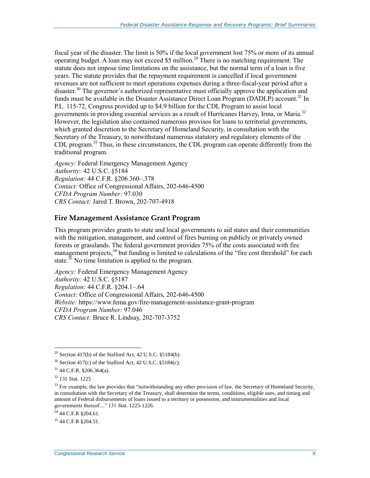fiscal year of the disaster. The limit is 50% if the local government lost 75% or more of its annual operating budget. A loan may not exceed \$5 million.<sup>29</sup> There is no matching requirement. The statute does not impose time limitations on the assistance, but the normal term of a loan is five years. The statute provides that the repayment requirement is cancelled if local government revenues are not sufficient to meet operations expenses during a three-fiscal-year period after a disaster.<sup>30</sup> The governor's authorized representative must officially approve the application and funds must be available in the Disaster Assistance Direct Loan Program (DADLP) account.<sup>31</sup> In P.L. 115-72, Congress provided up to \$4.9 billion for the CDL Program to assist local governments in providing essential services as a result of Hurricanes Harvey, Irma, or Maria.<sup>32</sup> However, the legislation also contained numerous provisos for loans to territorial governments, which granted discretion to the Secretary of Homeland Security, in consultation with the Secretary of the Treasury, to notwithstand numerous statutory and regulatory elements of the CDL program.<sup>33</sup> Thus, in these circumstances, the CDL program can operate differently from the traditional program.

*Agency:* Federal Emergency Management Agency *Authority:* 42 U.S.C. §5184 *Regulation:* 44 C.F.R. §206.360–.378 *Contact:* Office of Congressional Affairs, 202-646-4500 *CFDA Program Number:* 97.030 *CRS Contact:* Jared T. Brown, 202-707-4918

#### **Fire Management Assistance Grant Program**

This program provides grants to state and local governments to aid states and their communities with the mitigation, management, and control of fires burning on publicly or privately owned forests or grasslands. The federal government provides 75% of the costs associated with fire management projects,<sup>34</sup> but funding is limited to calculations of the "fire cost threshold" for each state.<sup>35</sup> No time limitation is applied to the program.

*Agency:* Federal Emergency Management Agency *Authority:* 42 U.S.C. §5187 *Regulation:* 44 C.F.R. §204.1–.64 *Contact:* Office of Congressional Affairs, 202-646-4500 *Website:* https://www.fema.gov/fire-management-assistance-grant-program *CFDA Program Number:* 97.046 *CRS Contact:* Bruce R. Lindsay, 202-707-3752

 $29$  Section 417(b) of the Stafford Act, 42 U.S.C. §5184(b).

 $30$  Section 417(c) of the Stafford Act, 42 U.S.C. §5184(c).

 $31$  44 C.F.R. §206.364(a).

<sup>32</sup> 131 Stat. 1225

 $33$  For example, the law provides that "notwithstanding any other provision of law, the Secretary of Homeland Security, in consultation with the Secretary of the Treasury, shall determine the terms, conditions, eligible uses, and timing and amount of Federal disbursements of loans issued to a territory or possession, and instrumentalities and local governments thereof...." 131 Stat. 1225-1226.

<sup>34</sup> 44 C.F.R §204.61.

 $35$  44 C.F.R  $$204.51$ .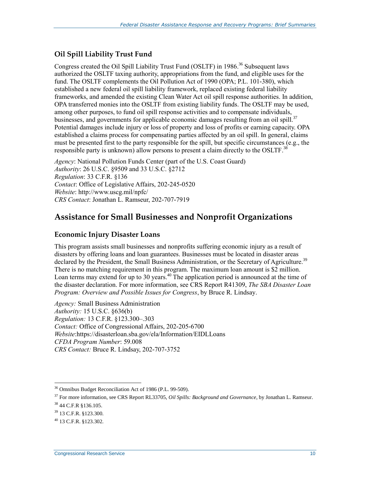#### **Oil Spill Liability Trust Fund**

Congress created the Oil Spill Liability Trust Fund (OSLTF) in 1986.<sup>36</sup> Subsequent laws authorized the OSLTF taxing authority, appropriations from the fund, and eligible uses for the fund. The OSLTF complements the Oil Pollution Act of 1990 (OPA; P.L. 101-380), which established a new federal oil spill liability framework, replaced existing federal liability frameworks, and amended the existing Clean Water Act oil spill response authorities. In addition, OPA transferred monies into the OSLTF from existing liability funds. The OSLTF may be used, among other purposes, to fund oil spill response activities and to compensate individuals, businesses, and governments for applicable economic damages resulting from an oil spill.<sup>37</sup> Potential damages include injury or loss of property and loss of profits or earning capacity. OPA established a claims process for compensating parties affected by an oil spill. In general, claims must be presented first to the party responsible for the spill, but specific circumstances (e.g., the responsible party is unknown) allow persons to present a claim directly to the OSLTF.<sup>38</sup>

*Agency*: National Pollution Funds Center (part of the U.S. Coast Guard) *Authority*: 26 U.S.C. §9509 and 33 U.S.C. §2712 *Regulation*: 33 C.F.R. §136 *Contact*: Office of Legislative Affairs, 202-245-0520 *Website*: http://www.uscg.mil/npfc/ *CRS Contact*: Jonathan L. Ramseur, 202-707-7919

### **Assistance for Small Businesses and Nonprofit Organizations**

#### **Economic Injury Disaster Loans**

This program assists small businesses and nonprofits suffering economic injury as a result of disasters by offering loans and loan guarantees. Businesses must be located in disaster areas declared by the President, the Small Business Administration, or the Secretary of Agriculture.<sup>39</sup> There is no matching requirement in this program. The maximum loan amount is \$2 million. Loan terms may extend for up to 30 years.<sup>40</sup> The application period is announced at the time of the disaster declaration. For more information, see CRS Report R41309, *The SBA Disaster Loan Program: Overview and Possible Issues for Congress*, by Bruce R. Lindsay.

*Agency:* Small Business Administration *Authority:* 15 U.S.C. §636(b) *Regulation:* 13 C.F.R. §123.300–.303 *Contact:* Office of Congressional Affairs, 202-205-6700 *Website*:https://disasterloan.sba.gov/ela/Information/EIDLLoans *CFDA Program Number*: 59.008 *CRS Contact:* Bruce R. Lindsay, 202-707-3752

 $\overline{a}$  $36$  Omnibus Budget Reconciliation Act of 1986 (P.L. 99-509).

<sup>37</sup> For more information, see CRS Report RL33705, *Oil Spills: Background and Governance*, by Jonathan L. Ramseur.

<sup>38</sup> 44 C.F.R §136.105.

<sup>39</sup> 13 C.F.R. §123.300.

<sup>40</sup> 13 C.F.R. §123.302.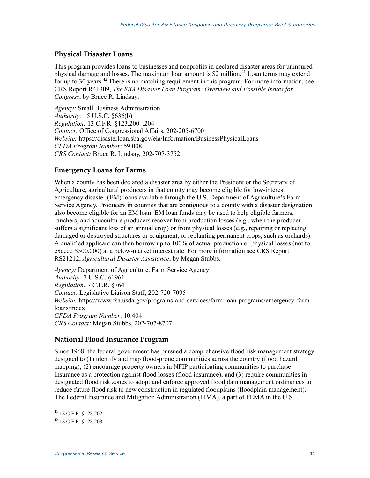#### **Physical Disaster Loans**

This program provides loans to businesses and nonprofits in declared disaster areas for uninsured physical damage and losses. The maximum loan amount is \$2 million.<sup>41</sup> Loan terms may extend for up to 30 years.<sup>42</sup> There is no matching requirement in this program. For more information, see CRS Report R41309, *The SBA Disaster Loan Program: Overview and Possible Issues for Congress*, by Bruce R. Lindsay.

*Agency:* Small Business Administration *Authority:* 15 U.S.C. §636(b) *Regulation:* 13 C.F.R. §123.200–.204 *Contact:* Office of Congressional Affairs, 202-205-6700 *Website:* https://disasterloan.sba.gov/ela/Information/BusinessPhysicalLoans *CFDA Program Number*: 59.008 *CRS Contact:* Bruce R. Lindsay, 202-707-3752

#### **Emergency Loans for Farms**

When a county has been declared a disaster area by either the President or the Secretary of Agriculture, agricultural producers in that county may become eligible for low-interest emergency disaster (EM) loans available through the U.S. Department of Agriculture's Farm Service Agency. Producers in counties that are contiguous to a county with a disaster designation also become eligible for an EM loan. EM loan funds may be used to help eligible farmers, ranchers, and aquaculture producers recover from production losses (e.g., when the producer suffers a significant loss of an annual crop) or from physical losses (e.g., repairing or replacing damaged or destroyed structures or equipment, or replanting permanent crops, such as orchards). A qualified applicant can then borrow up to 100% of actual production or physical losses (not to exceed \$500,000) at a below-market interest rate. For more information see CRS Report RS21212, *Agricultural Disaster Assistance*, by Megan Stubbs.

*Agency:* Department of Agriculture, Farm Service Agency *Authority:* 7 U.S.C. §1961 *Regulation:* 7 C.F.R. §764 *Contact:* Legislative Liaison Staff, 202-720-7095 *Website:* https://www.fsa.usda.gov/programs-and-services/farm-loan-programs/emergency-farmloans/index *CFDA Program Number*: 10.404 *CRS Contact:* Megan Stubbs, 202-707-8707

#### **National Flood Insurance Program**

Since 1968, the federal government has pursued a comprehensive flood risk management strategy designed to (1) identify and map flood-prone communities across the country (flood hazard mapping); (2) encourage property owners in NFIP participating communities to purchase insurance as a protection against flood losses (flood insurance); and (3) require communities in designated flood risk zones to adopt and enforce approved floodplain management ordinances to reduce future flood risk to new construction in regulated floodplains (floodplain management). The Federal Insurance and Mitigation Administration (FIMA), a part of FEMA in the U.S.

 $\overline{a}$ <sup>41</sup> 13 C.F.R. §123.202.

<sup>42</sup> 13 C.F.R. §123.203.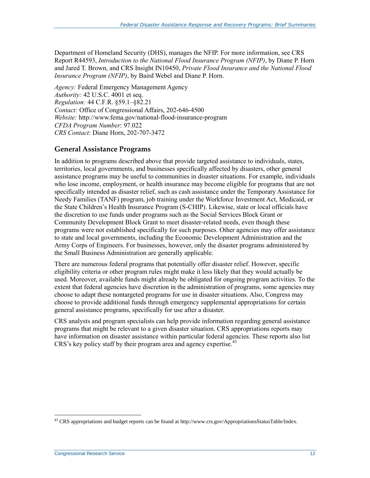Department of Homeland Security (DHS), manages the NFIP. For more information, see CRS Report R44593, *Introduction to the National Flood Insurance Program (NFIP)*, by Diane P. Horn and Jared T. Brown, and CRS Insight IN10450, *Private Flood Insurance and the National Flood Insurance Program (NFIP)*, by Baird Webel and Diane P. Horn.

*Agency:* Federal Emergency Management Agency *Authority:* 42 U.S.C. 4001 et seq. *Regulation:* 44 C.F.R. §59.1–§82.21 *Contact:* Office of Congressional Affairs, 202-646-4500 *Website:* http://www.fema.gov/national-flood-insurance-program *CFDA Program Number*: 97.022 *CRS Contact*: Diane Horn, 202-707-3472

#### <span id="page-14-0"></span>**General Assistance Programs**

In addition to programs described above that provide targeted assistance to individuals, states, territories, local governments, and businesses specifically affected by disasters, other general assistance programs may be useful to communities in disaster situations. For example, individuals who lose income, employment, or health insurance may become eligible for programs that are not specifically intended as disaster relief, such as cash assistance under the Temporary Assistance for Needy Families (TANF) program, job training under the Workforce Investment Act, Medicaid, or the State Children's Health Insurance Program (S-CHIP). Likewise, state or local officials have the discretion to use funds under programs such as the Social Services Block Grant or Community Development Block Grant to meet disaster-related needs, even though these programs were not established specifically for such purposes. Other agencies may offer assistance to state and local governments, including the Economic Development Administration and the Army Corps of Engineers. For businesses, however, only the disaster programs administered by the Small Business Administration are generally applicable.

There are numerous federal programs that potentially offer disaster relief. However, specific eligibility criteria or other program rules might make it less likely that they would actually be used. Moreover, available funds might already be obligated for ongoing program activities. To the extent that federal agencies have discretion in the administration of programs, some agencies may choose to adapt these nontargeted programs for use in disaster situations. Also, Congress may choose to provide additional funds through emergency supplemental appropriations for certain general assistance programs, specifically for use after a disaster.

CRS analysts and program specialists can help provide information regarding general assistance programs that might be relevant to a given disaster situation. CRS appropriations reports may have information on disaster assistance within particular federal agencies. These reports also list CRS's key policy staff by their program area and agency expertise.<sup>43</sup>

 $^{43}$  CRS appropriations and budget reports can be found at http://www.crs.gov/AppropriationsStatusTable/Index.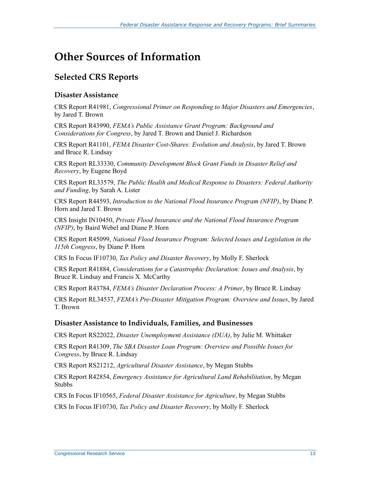## **Other Sources of Information**

### **Selected CRS Reports**

#### **Disaster Assistance**

CRS Report R41981, *Congressional Primer on Responding to Major Disasters and Emergencies*, by Jared T. Brown

CRS Report R43990, *FEMA's Public Assistance Grant Program: Background and Considerations for Congress*, by Jared T. Brown and Daniel J. Richardson

CRS Report R41101, *FEMA Disaster Cost-Shares: Evolution and Analysis*, by Jared T. Brown and Bruce R. Lindsay

CRS Report RL33330, *Community Development Block Grant Funds in Disaster Relief and Recovery*, by Eugene Boyd

CRS Report RL33579, *The Public Health and Medical Response to Disasters: Federal Authority and Funding*, by Sarah A. Lister

CRS Report R44593, *Introduction to the National Flood Insurance Program (NFIP)*, by Diane P. Horn and Jared T. Brown

CRS Insight IN10450, *Private Flood Insurance and the National Flood Insurance Program (NFIP)*, by Baird Webel and Diane P. Horn

CRS Report R45099, *National Flood Insurance Program: Selected Issues and Legislation in the 115th Congress*, by Diane P. Horn

CRS In Focus IF10730, *Tax Policy and Disaster Recovery*, by Molly F. Sherlock

CRS Report R41884, *Considerations for a Catastrophic Declaration: Issues and Analysis*, by Bruce R. Lindsay and Francis X. McCarthy

CRS Report R43784, *FEMA's Disaster Declaration Process: A Primer*, by Bruce R. Lindsay

CRS Report RL34537, *FEMA's Pre-Disaster Mitigation Program: Overview and Issues*, by Jared T. Brown

#### **Disaster Assistance to Individuals, Families, and Businesses**

CRS Report RS22022, *Disaster Unemployment Assistance (DUA)*, by Julie M. Whittaker

CRS Report R41309, *The SBA Disaster Loan Program: Overview and Possible Issues for Congress*, by Bruce R. Lindsay

CRS Report RS21212, *Agricultural Disaster Assistance*, by Megan Stubbs

CRS Report R42854, *Emergency Assistance for Agricultural Land Rehabilitation*, by Megan Stubbs

CRS In Focus IF10565, *Federal Disaster Assistance for Agriculture*, by Megan Stubbs

CRS In Focus IF10730, *Tax Policy and Disaster Recovery*, by Molly F. Sherlock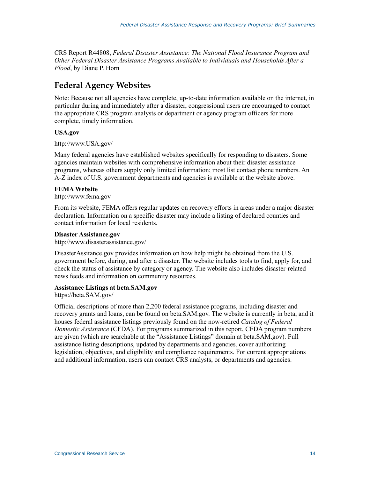CRS Report R44808, *Federal Disaster Assistance: The National Flood Insurance Program and Other Federal Disaster Assistance Programs Available to Individuals and Households After a Flood*, by Diane P. Horn

### **Federal Agency Websites**

Note: Because not all agencies have complete, up-to-date information available on the internet, in particular during and immediately after a disaster, congressional users are encouraged to contact the appropriate CRS program analysts or department or agency program officers for more complete, timely information.

#### **USA.gov**

http://www.USA.gov/

Many federal agencies have established websites specifically for responding to disasters. Some agencies maintain websites with comprehensive information about their disaster assistance programs, whereas others supply only limited information; most list contact phone numbers. An A-Z index of U.S. government departments and agencies is available at the website above.

#### **FEMA Website**

http://www.fema.gov

From its website, FEMA offers regular updates on recovery efforts in areas under a major disaster declaration. Information on a specific disaster may include a listing of declared counties and contact information for local residents.

#### **Disaster Assistance.gov**

http://www.disasterassistance.gov/

DisasterAssitance.gov provides information on how help might be obtained from the U.S. government before, during, and after a disaster. The website includes tools to find, apply for, and check the status of assistance by category or agency. The website also includes disaster-related news feeds and information on community resources.

#### **Assistance Listings at beta.SAM.gov**

https://beta.SAM.gov/

Official descriptions of more than 2,200 federal assistance programs, including disaster and recovery grants and loans, can be found on beta.SAM.gov. The website is currently in beta, and it houses federal assistance listings previously found on the now-retired *Catalog of Federal Domestic Assistance* (CFDA). For programs summarized in this report, CFDA program numbers are given (which are searchable at the "Assistance Listings" domain at beta.SAM.gov). Full assistance listing descriptions, updated by departments and agencies, cover authorizing legislation, objectives, and eligibility and compliance requirements. For current appropriations and additional information, users can contact CRS analysts, or departments and agencies.